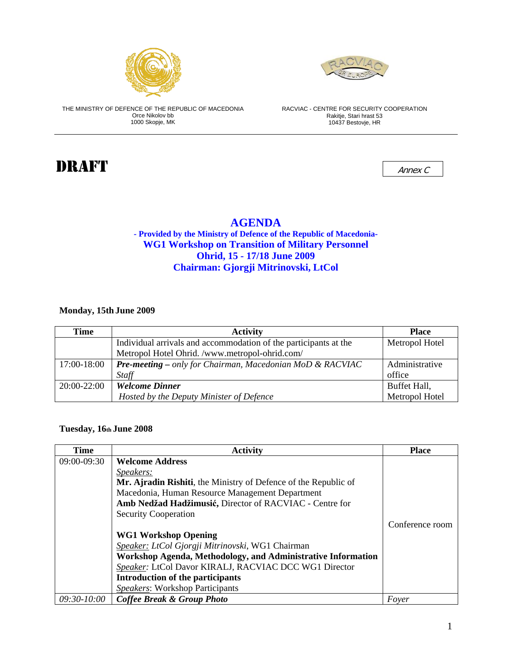



THE MINISTRY OF DEFENCE OF THE REPUBLIC OF MACEDONIA Orce Nikolov bb 1000 Skopje, MK

RACVIAC - CENTRE FOR SECURITY COOPERATION Rakitje, Stari hrast 53 10437 Bestovje, HR

# $\blacksquare$

### **AGENDA - Provided by the Ministry of Defence of the Republic of Macedonia-WG1 Workshop on Transition of Military Personnel Ohrid, 15 - 17/18 June 2009 Chairman: Gjorgji Mitrinovski, LtCol**

**Monday, 15th June 2009** 

| Time        | <b>Activity</b>                                                  | <b>Place</b>   |
|-------------|------------------------------------------------------------------|----------------|
|             | Individual arrivals and accommodation of the participants at the | Metropol Hotel |
|             | Metropol Hotel Ohrid. /www.metropol-ohrid.com/                   |                |
| 17:00-18:00 | <b>Pre-meeting</b> – only for Chairman, Macedonian MoD & RACVIAC | Administrative |
|             | Staff                                                            | office         |
| 20:00-22:00 | <b>Welcome Dinner</b>                                            | Buffet Hall,   |
|             | Hosted by the Deputy Minister of Defence                         | Metropol Hotel |

#### **Tuesday, 16th June 2008**

| Time          | <b>Activity</b>                                                 | <b>Place</b>    |
|---------------|-----------------------------------------------------------------|-----------------|
| 09:00-09:30   | <b>Welcome Address</b>                                          |                 |
|               | <i>Speakers:</i>                                                |                 |
|               | Mr. Ajradin Rishiti, the Ministry of Defence of the Republic of |                 |
|               | Macedonia, Human Resource Management Department                 |                 |
|               | Amb Nedžad Hadžimusić, Director of RACVIAC - Centre for         |                 |
|               | <b>Security Cooperation</b>                                     |                 |
|               |                                                                 | Conference room |
|               | <b>WG1 Workshop Opening</b>                                     |                 |
|               | Speaker: LtCol Gjorgji Mitrinovski, WG1 Chairman                |                 |
|               | Workshop Agenda, Methodology, and Administrative Information    |                 |
|               | Speaker: LtCol Davor KIRALJ, RACVIAC DCC WG1 Director           |                 |
|               | <b>Introduction of the participants</b>                         |                 |
|               | Speakers: Workshop Participants                                 |                 |
| $09:30-10:00$ | <b>Coffee Break &amp; Group Photo</b>                           | Foyer           |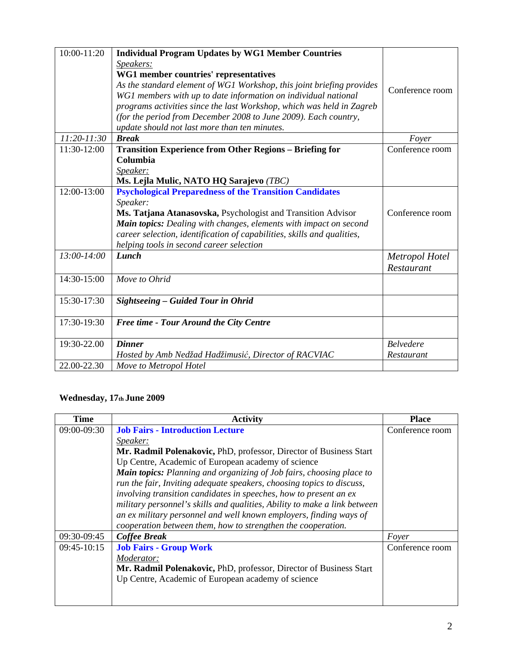| $10:00 - 11:20$ | <b>Individual Program Updates by WG1 Member Countries</b><br>Speakers:<br>WG1 member countries' representatives<br>As the standard element of WG1 Workshop, this joint briefing provides<br>WG1 members with up to date information on individual national<br>programs activities since the last Workshop, which was held in Zagreb<br>(for the period from December 2008 to June 2009). Each country,<br>update should not last more than ten minutes. | Conference room  |
|-----------------|---------------------------------------------------------------------------------------------------------------------------------------------------------------------------------------------------------------------------------------------------------------------------------------------------------------------------------------------------------------------------------------------------------------------------------------------------------|------------------|
| 11:20-11:30     | <b>Break</b>                                                                                                                                                                                                                                                                                                                                                                                                                                            | Foyer            |
| 11:30-12:00     | <b>Transition Experience from Other Regions - Briefing for</b>                                                                                                                                                                                                                                                                                                                                                                                          | Conference room  |
|                 | Columbia                                                                                                                                                                                                                                                                                                                                                                                                                                                |                  |
|                 | Speaker:                                                                                                                                                                                                                                                                                                                                                                                                                                                |                  |
|                 | Ms. Lejla Mulic, NATO HQ Sarajevo (TBC)                                                                                                                                                                                                                                                                                                                                                                                                                 |                  |
| 12:00-13:00     | <b>Psychological Preparedness of the Transition Candidates</b>                                                                                                                                                                                                                                                                                                                                                                                          |                  |
|                 | Speaker:                                                                                                                                                                                                                                                                                                                                                                                                                                                |                  |
|                 | Ms. Tatjana Atanasovska, Psychologist and Transition Advisor                                                                                                                                                                                                                                                                                                                                                                                            | Conference room  |
|                 | Main topics: Dealing with changes, elements with impact on second                                                                                                                                                                                                                                                                                                                                                                                       |                  |
|                 | career selection, identification of capabilities, skills and qualities,                                                                                                                                                                                                                                                                                                                                                                                 |                  |
|                 | helping tools in second career selection                                                                                                                                                                                                                                                                                                                                                                                                                |                  |
| 13:00-14:00     | Lunch                                                                                                                                                                                                                                                                                                                                                                                                                                                   | Metropol Hotel   |
|                 |                                                                                                                                                                                                                                                                                                                                                                                                                                                         | Restaurant       |
| 14:30-15:00     | Move to Ohrid                                                                                                                                                                                                                                                                                                                                                                                                                                           |                  |
| 15:30-17:30     | Sightseeing - Guided Tour in Ohrid                                                                                                                                                                                                                                                                                                                                                                                                                      |                  |
|                 |                                                                                                                                                                                                                                                                                                                                                                                                                                                         |                  |
| 17:30-19:30     | Free time - Tour Around the City Centre                                                                                                                                                                                                                                                                                                                                                                                                                 |                  |
| 19:30-22.00     | <b>Dinner</b>                                                                                                                                                                                                                                                                                                                                                                                                                                           | <b>Belvedere</b> |
|                 | Hosted by Amb Nedžad Hadžimusić, Director of RACVIAC                                                                                                                                                                                                                                                                                                                                                                                                    | Restaurant       |
| 22.00-22.30     | Move to Metropol Hotel                                                                                                                                                                                                                                                                                                                                                                                                                                  |                  |

## **Wednesday, 17th June 2009**

| Time        | <b>Activity</b>                                                                                                                                                                                                    | <b>Place</b>    |
|-------------|--------------------------------------------------------------------------------------------------------------------------------------------------------------------------------------------------------------------|-----------------|
| 09:00-09:30 | <b>Job Fairs - Introduction Lecture</b>                                                                                                                                                                            | Conference room |
|             | Speaker:                                                                                                                                                                                                           |                 |
|             | Mr. Radmil Polenakovic, PhD, professor, Director of Business Start                                                                                                                                                 |                 |
|             | Up Centre, Academic of European academy of science                                                                                                                                                                 |                 |
|             | Main topics: Planning and organizing of Job fairs, choosing place to<br>run the fair, Inviting adequate speakers, choosing topics to discuss,<br>involving transition candidates in speeches, how to present an ex |                 |
|             | military personnel's skills and qualities, Ability to make a link between                                                                                                                                          |                 |
|             | an ex military personnel and well known employers, finding ways of                                                                                                                                                 |                 |
|             | cooperation between them, how to strengthen the cooperation.                                                                                                                                                       |                 |
| 09:30-09:45 | <b>Coffee Break</b>                                                                                                                                                                                                | Foyer           |
| 09:45-10:15 | <b>Job Fairs - Group Work</b>                                                                                                                                                                                      | Conference room |
|             | Moderator:                                                                                                                                                                                                         |                 |
|             | Mr. Radmil Polenakovic, PhD, professor, Director of Business Start                                                                                                                                                 |                 |
|             | Up Centre, Academic of European academy of science                                                                                                                                                                 |                 |
|             |                                                                                                                                                                                                                    |                 |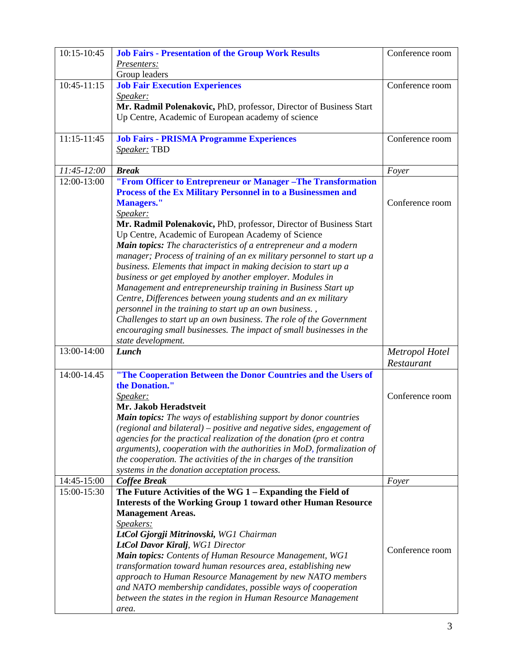| 10:15-10:45   | <b>Job Fairs - Presentation of the Group Work Results</b>              | Conference room |
|---------------|------------------------------------------------------------------------|-----------------|
|               | Presenters:                                                            |                 |
|               | Group leaders                                                          |                 |
| $10:45-11:15$ | <b>Job Fair Execution Experiences</b>                                  | Conference room |
|               | Speaker:                                                               |                 |
|               | Mr. Radmil Polenakovic, PhD, professor, Director of Business Start     |                 |
|               | Up Centre, Academic of European academy of science                     |                 |
|               |                                                                        |                 |
| $11:15-11:45$ | <b>Job Fairs - PRISMA Programme Experiences</b>                        | Conference room |
|               | Speaker: TBD                                                           |                 |
|               |                                                                        |                 |
| 11:45-12:00   | <b>Break</b>                                                           | Foyer           |
| 12:00-13:00   | "From Officer to Entrepreneur or Manager-The Transformation            |                 |
|               | Process of the Ex Military Personnel in to a Businessmen and           |                 |
|               | <b>Managers."</b>                                                      | Conference room |
|               | Speaker:                                                               |                 |
|               | Mr. Radmil Polenakovic, PhD, professor, Director of Business Start     |                 |
|               | Up Centre, Academic of European Academy of Science                     |                 |
|               | Main topics: The characteristics of a entrepreneur and a modern        |                 |
|               | manager; Process of training of an ex military personnel to start up a |                 |
|               | business. Elements that impact in making decision to start up a        |                 |
|               | business or get employed by another employer. Modules in               |                 |
|               | Management and entrepreneurship training in Business Start up          |                 |
|               | Centre, Differences between young students and an ex military          |                 |
|               | personnel in the training to start up an own business.,                |                 |
|               | Challenges to start up an own business. The role of the Government     |                 |
|               | encouraging small businesses. The impact of small businesses in the    |                 |
|               | state development.                                                     |                 |
| 13:00-14:00   | Lunch                                                                  | Metropol Hotel  |
|               |                                                                        | Restaurant      |
| 14:00-14.45   | "The Cooperation Between the Donor Countries and the Users of          |                 |
|               | the Donation."                                                         |                 |
|               | Speaker:                                                               | Conference room |
|               | Mr. Jakob Heradstveit                                                  |                 |
|               | Main topics: The ways of establishing support by donor countries       |                 |
|               | (regional and bilateral) – positive and negative sides, engagement of  |                 |
|               |                                                                        |                 |
|               | agencies for the practical realization of the donation (pro et contra  |                 |
|               | arguments), cooperation with the authorities in MoD, formalization of  |                 |
|               | the cooperation. The activities of the in charges of the transition    |                 |
| 14:45-15:00   | systems in the donation acceptation process.<br><b>Coffee Break</b>    | Foyer           |
| 15:00-15:30   | The Future Activities of the WG 1 - Expanding the Field of             |                 |
|               |                                                                        |                 |
|               | <b>Interests of the Working Group 1 toward other Human Resource</b>    |                 |
|               | <b>Management Areas.</b>                                               |                 |
|               | Speakers:                                                              |                 |
|               | LtCol Gjorgji Mitrinovski, WG1 Chairman                                |                 |
|               | <b>LtCol Davor Kiralj</b> , WG1 Director                               | Conference room |
|               | Main topics: Contents of Human Resource Management, WG1                |                 |
|               | transformation toward human resources area, establishing new           |                 |
|               | approach to Human Resource Management by new NATO members              |                 |
|               | and NATO membership candidates, possible ways of cooperation           |                 |
|               | between the states in the region in Human Resource Management          |                 |
|               | area.                                                                  |                 |